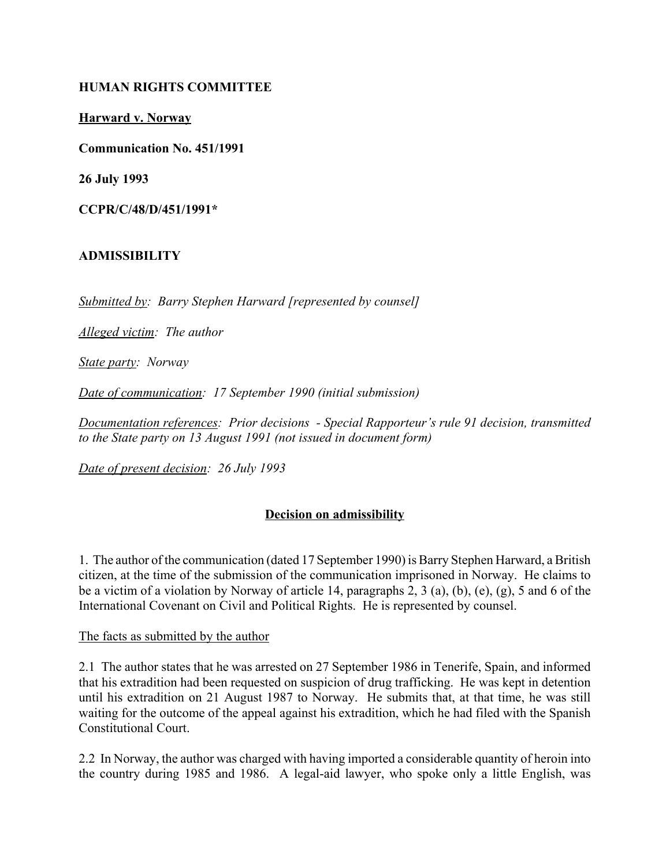### **HUMAN RIGHTS COMMITTEE**

**Harward v. Norway**

**Communication No. 451/1991**

**26 July 1993**

**CCPR/C/48/D/451/1991\***

#### **ADMISSIBILITY**

*Submitted by: Barry Stephen Harward [represented by counsel]*

*Alleged victim: The author*

*State party: Norway* 

*Date of communication: 17 September 1990 (initial submission)* 

Documentation references: Prior decisions - Special Rapporteur's rule 91 decision, transmitted *to the State party on 13 August 1991 (not issued in document form)*

*Date of present decision: 26 July 1993*

### **Decision on admissibility**

1. The author of the communication (dated 17 September 1990) is Barry Stephen Harward, a British citizen, at the time of the submission of the communication imprisoned in Norway. He claims to be a victim of a violation by Norway of article 14, paragraphs 2, 3 (a), (b), (e), (g), 5 and 6 of the International Covenant on Civil and Political Rights. He is represented by counsel.

The facts as submitted by the author

2.1 The author states that he was arrested on 27 September 1986 in Tenerife, Spain, and informed that his extradition had been requested on suspicion of drug trafficking. He was kept in detention until his extradition on 21 August 1987 to Norway. He submits that, at that time, he was still waiting for the outcome of the appeal against his extradition, which he had filed with the Spanish Constitutional Court.

2.2 In Norway, the author was charged with having imported a considerable quantity of heroin into the country during 1985 and 1986. A legal-aid lawyer, who spoke only a little English, was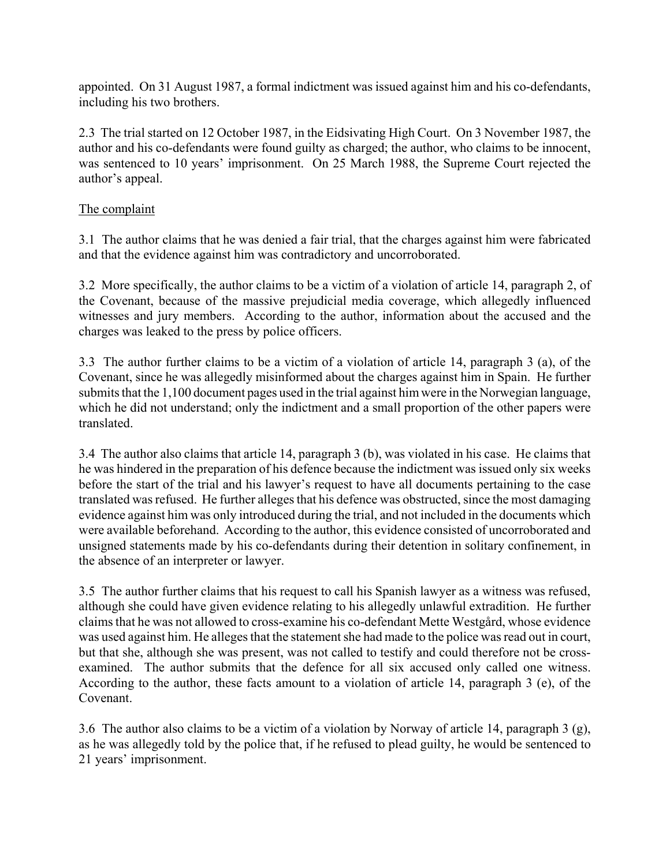appointed. On 31 August 1987, a formal indictment was issued against him and his co-defendants, including his two brothers.

2.3 The trial started on 12 October 1987, in the Eidsivating High Court. On 3 November 1987, the author and his co-defendants were found guilty as charged; the author, who claims to be innocent, was sentenced to 10 years' imprisonment. On 25 March 1988, the Supreme Court rejected the author's appeal.

# The complaint

3.1 The author claims that he was denied a fair trial, that the charges against him were fabricated and that the evidence against him was contradictory and uncorroborated.

3.2 More specifically, the author claims to be a victim of a violation of article 14, paragraph 2, of the Covenant, because of the massive prejudicial media coverage, which allegedly influenced witnesses and jury members. According to the author, information about the accused and the charges was leaked to the press by police officers.

3.3 The author further claims to be a victim of a violation of article 14, paragraph 3 (a), of the Covenant, since he was allegedly misinformed about the charges against him in Spain. He further submits that the 1,100 document pages used in the trial against him were in the Norwegian language, which he did not understand; only the indictment and a small proportion of the other papers were translated.

3.4 The author also claims that article 14, paragraph 3 (b), was violated in his case. He claims that he was hindered in the preparation of his defence because the indictment was issued only six weeks before the start of the trial and his lawyer's request to have all documents pertaining to the case translated was refused. He further alleges that his defence was obstructed, since the most damaging evidence against him was only introduced during the trial, and not included in the documents which were available beforehand. According to the author, this evidence consisted of uncorroborated and unsigned statements made by his co-defendants during their detention in solitary confinement, in the absence of an interpreter or lawyer.

3.5 The author further claims that his request to call his Spanish lawyer as a witness was refused, although she could have given evidence relating to his allegedly unlawful extradition. He further claims that he was not allowed to cross-examine his co-defendant Mette WestgÂrd, whose evidence was used against him. He alleges that the statement she had made to the police was read out in court, but that she, although she was present, was not called to testify and could therefore not be crossexamined. The author submits that the defence for all six accused only called one witness. According to the author, these facts amount to a violation of article 14, paragraph 3 (e), of the Covenant.

3.6 The author also claims to be a victim of a violation by Norway of article 14, paragraph 3 (g), as he was allegedly told by the police that, if he refused to plead guilty, he would be sentenced to 21 years' imprisonment.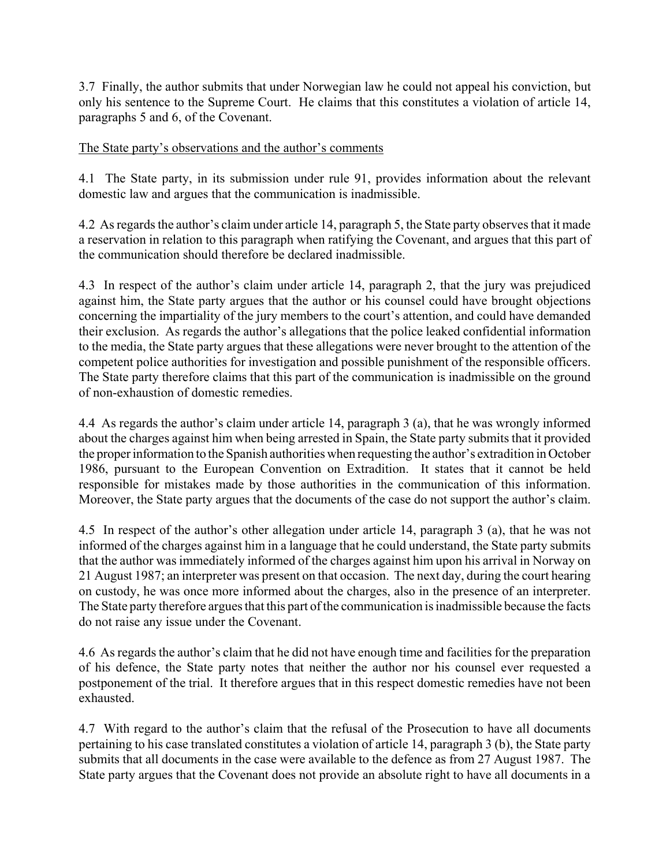3.7 Finally, the author submits that under Norwegian law he could not appeal his conviction, but only his sentence to the Supreme Court. He claims that this constitutes a violation of article 14, paragraphs 5 and 6, of the Covenant.

### The State party's observations and the author's comments

4.1 The State party, in its submission under rule 91, provides information about the relevant domestic law and argues that the communication is inadmissible.

4.2 As regards the author's claim under article 14, paragraph 5, the State party observes that it made a reservation in relation to this paragraph when ratifying the Covenant, and argues that this part of the communication should therefore be declared inadmissible.

4.3 In respect of the author's claim under article 14, paragraph 2, that the jury was prejudiced against him, the State party argues that the author or his counsel could have brought objections concerning the impartiality of the jury members to the court's attention, and could have demanded their exclusion. As regards the author's allegations that the police leaked confidential information to the media, the State party argues that these allegations were never brought to the attention of the competent police authorities for investigation and possible punishment of the responsible officers. The State party therefore claims that this part of the communication is inadmissible on the ground of non-exhaustion of domestic remedies.

4.4 As regards the author's claim under article 14, paragraph 3 (a), that he was wrongly informed about the charges against him when being arrested in Spain, the State party submits that it provided the proper information to the Spanish authorities when requesting the author's extradition in October 1986, pursuant to the European Convention on Extradition. It states that it cannot be held responsible for mistakes made by those authorities in the communication of this information. Moreover, the State party argues that the documents of the case do not support the author's claim.

4.5 In respect of the author's other allegation under article 14, paragraph 3 (a), that he was not informed of the charges against him in a language that he could understand, the State party submits that the author was immediately informed of the charges against him upon his arrival in Norway on 21 August 1987; an interpreter was present on that occasion. The next day, during the court hearing on custody, he was once more informed about the charges, also in the presence of an interpreter. The State party therefore argues that this part of the communication is inadmissible because the facts do not raise any issue under the Covenant.

4.6 As regards the author's claim that he did not have enough time and facilities for the preparation of his defence, the State party notes that neither the author nor his counsel ever requested a postponement of the trial. It therefore argues that in this respect domestic remedies have not been exhausted.

4.7 With regard to the author's claim that the refusal of the Prosecution to have all documents pertaining to his case translated constitutes a violation of article 14, paragraph 3 (b), the State party submits that all documents in the case were available to the defence as from 27 August 1987. The State party argues that the Covenant does not provide an absolute right to have all documents in a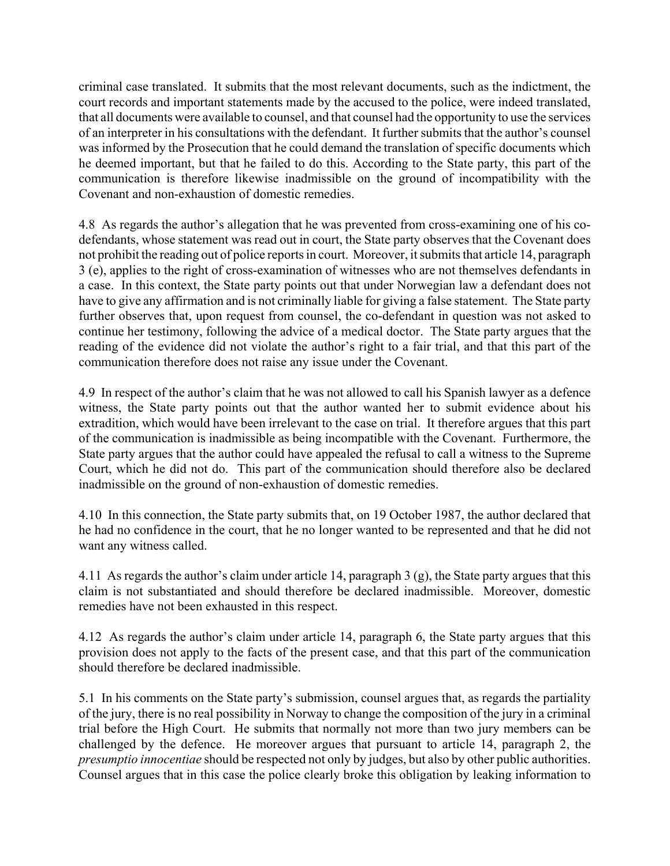criminal case translated. It submits that the most relevant documents, such as the indictment, the court records and important statements made by the accused to the police, were indeed translated, that all documents were available to counsel, and that counsel had the opportunity to use the services of an interpreter in his consultations with the defendant. It further submits that the author's counsel was informed by the Prosecution that he could demand the translation of specific documents which he deemed important, but that he failed to do this. According to the State party, this part of the communication is therefore likewise inadmissible on the ground of incompatibility with the Covenant and non-exhaustion of domestic remedies.

4.8 As regards the author's allegation that he was prevented from cross-examining one of his codefendants, whose statement was read out in court, the State party observes that the Covenant does not prohibit the reading out of police reports in court. Moreover, it submits that article 14, paragraph 3 (e), applies to the right of cross-examination of witnesses who are not themselves defendants in a case. In this context, the State party points out that under Norwegian law a defendant does not have to give any affirmation and is not criminally liable for giving a false statement. The State party further observes that, upon request from counsel, the co-defendant in question was not asked to continue her testimony, following the advice of a medical doctor. The State party argues that the reading of the evidence did not violate the author's right to a fair trial, and that this part of the communication therefore does not raise any issue under the Covenant.

4.9 In respect of the author's claim that he was not allowed to call his Spanish lawyer as a defence witness, the State party points out that the author wanted her to submit evidence about his extradition, which would have been irrelevant to the case on trial. It therefore argues that this part of the communication is inadmissible as being incompatible with the Covenant. Furthermore, the State party argues that the author could have appealed the refusal to call a witness to the Supreme Court, which he did not do. This part of the communication should therefore also be declared inadmissible on the ground of non-exhaustion of domestic remedies.

4.10 In this connection, the State party submits that, on 19 October 1987, the author declared that he had no confidence in the court, that he no longer wanted to be represented and that he did not want any witness called.

4.11 As regards the author's claim under article 14, paragraph 3  $(g)$ , the State party argues that this claim is not substantiated and should therefore be declared inadmissible. Moreover, domestic remedies have not been exhausted in this respect.

4.12 As regards the author's claim under article 14, paragraph 6, the State party argues that this provision does not apply to the facts of the present case, and that this part of the communication should therefore be declared inadmissible.

5.1 In his comments on the State party's submission, counsel argues that, as regards the partiality of the jury, there is no real possibility in Norway to change the composition of the jury in a criminal trial before the High Court. He submits that normally not more than two jury members can be challenged by the defence. He moreover argues that pursuant to article 14, paragraph 2, the *presumptio innocentiae* should be respected not only by judges, but also by other public authorities. Counsel argues that in this case the police clearly broke this obligation by leaking information to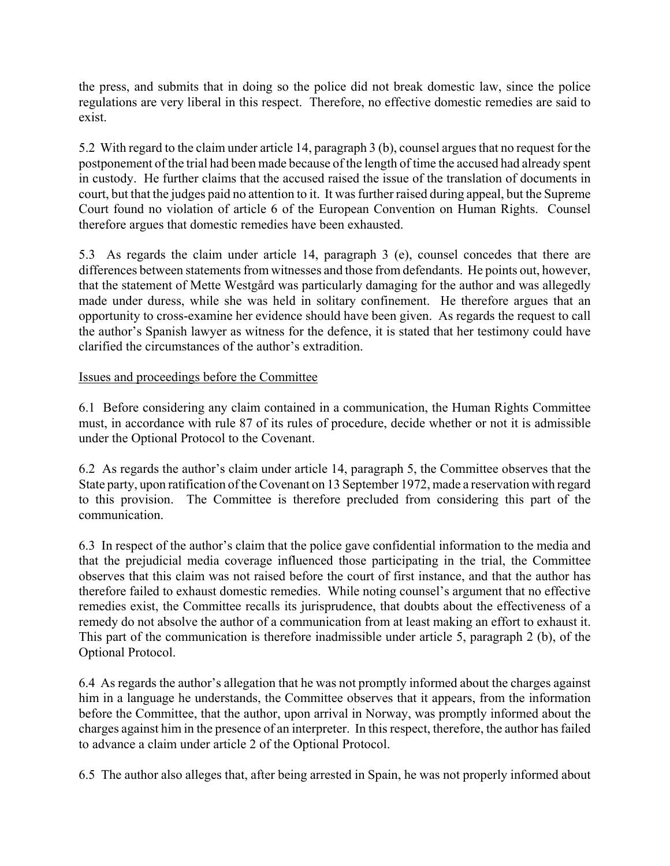the press, and submits that in doing so the police did not break domestic law, since the police regulations are very liberal in this respect. Therefore, no effective domestic remedies are said to exist.

5.2 With regard to the claim under article 14, paragraph 3 (b), counsel argues that no request for the postponement of the trial had been made because of the length of time the accused had already spent in custody. He further claims that the accused raised the issue of the translation of documents in court, but that the judges paid no attention to it. It was further raised during appeal, but the Supreme Court found no violation of article 6 of the European Convention on Human Rights. Counsel therefore argues that domestic remedies have been exhausted.

5.3 As regards the claim under article 14, paragraph 3 (e), counsel concedes that there are differences between statements from witnesses and those from defendants. He points out, however, that the statement of Mette WestgÂrd was particularly damaging for the author and was allegedly made under duress, while she was held in solitary confinement. He therefore argues that an opportunity to cross-examine her evidence should have been given. As regards the request to call the author's Spanish lawyer as witness for the defence, it is stated that her testimony could have clarified the circumstances of the author's extradition.

# Issues and proceedings before the Committee

6.1 Before considering any claim contained in a communication, the Human Rights Committee must, in accordance with rule 87 of its rules of procedure, decide whether or not it is admissible under the Optional Protocol to the Covenant.

6.2 As regards the author's claim under article 14, paragraph 5, the Committee observes that the State party, upon ratification of the Covenant on 13 September 1972, made a reservation with regard to this provision. The Committee is therefore precluded from considering this part of the communication.

6.3 In respect of the author's claim that the police gave confidential information to the media and that the prejudicial media coverage influenced those participating in the trial, the Committee observes that this claim was not raised before the court of first instance, and that the author has therefore failed to exhaust domestic remedies. While noting counsel's argument that no effective remedies exist, the Committee recalls its jurisprudence, that doubts about the effectiveness of a remedy do not absolve the author of a communication from at least making an effort to exhaust it. This part of the communication is therefore inadmissible under article 5, paragraph 2 (b), of the Optional Protocol.

6.4 As regards the author's allegation that he was not promptly informed about the charges against him in a language he understands, the Committee observes that it appears, from the information before the Committee, that the author, upon arrival in Norway, was promptly informed about the charges against him in the presence of an interpreter. In this respect, therefore, the author has failed to advance a claim under article 2 of the Optional Protocol.

6.5 The author also alleges that, after being arrested in Spain, he was not properly informed about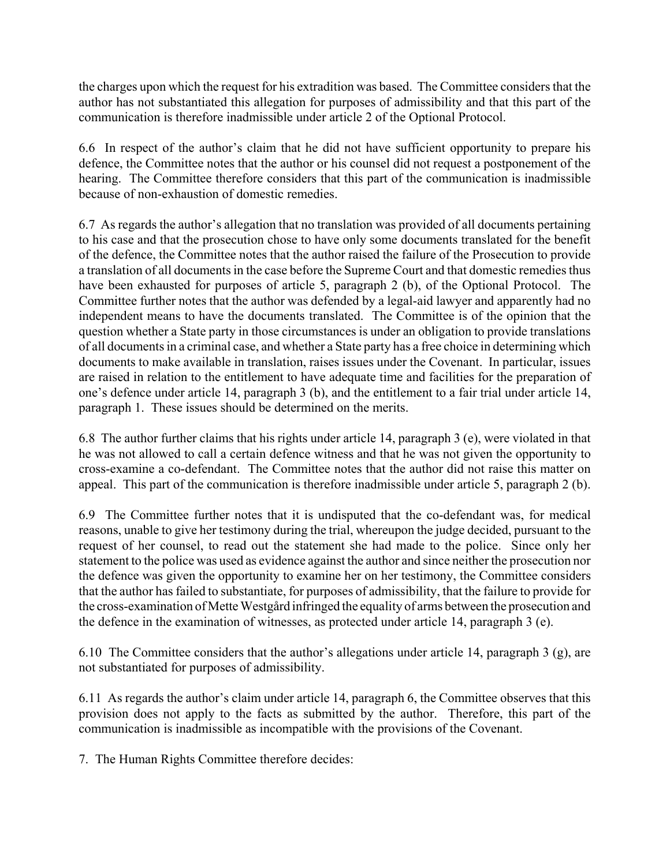the charges upon which the request for his extradition was based. The Committee considers that the author has not substantiated this allegation for purposes of admissibility and that this part of the communication is therefore inadmissible under article 2 of the Optional Protocol.

6.6 In respect of the author's claim that he did not have sufficient opportunity to prepare his defence, the Committee notes that the author or his counsel did not request a postponement of the hearing. The Committee therefore considers that this part of the communication is inadmissible because of non-exhaustion of domestic remedies.

6.7 As regards the author's allegation that no translation was provided of all documents pertaining to his case and that the prosecution chose to have only some documents translated for the benefit of the defence, the Committee notes that the author raised the failure of the Prosecution to provide a translation of all documents in the case before the Supreme Court and that domestic remedies thus have been exhausted for purposes of article 5, paragraph 2 (b), of the Optional Protocol. The Committee further notes that the author was defended by a legal-aid lawyer and apparently had no independent means to have the documents translated. The Committee is of the opinion that the question whether a State party in those circumstances is under an obligation to provide translations of all documents in a criminal case, and whether a State party has a free choice in determining which documents to make available in translation, raises issues under the Covenant. In particular, issues are raised in relation to the entitlement to have adequate time and facilities for the preparation of one's defence under article 14, paragraph 3 (b), and the entitlement to a fair trial under article 14, paragraph 1. These issues should be determined on the merits.

6.8 The author further claims that his rights under article 14, paragraph 3 (e), were violated in that he was not allowed to call a certain defence witness and that he was not given the opportunity to cross-examine a co-defendant. The Committee notes that the author did not raise this matter on appeal. This part of the communication is therefore inadmissible under article 5, paragraph 2 (b).

6.9 The Committee further notes that it is undisputed that the co-defendant was, for medical reasons, unable to give her testimony during the trial, whereupon the judge decided, pursuant to the request of her counsel, to read out the statement she had made to the police. Since only her statement to the police was used as evidence against the author and since neither the prosecution nor the defence was given the opportunity to examine her on her testimony, the Committee considers that the author has failed to substantiate, for purposes of admissibility, that the failure to provide for the cross-examination of Mette Westgård infringed the equality of arms between the prosecution and the defence in the examination of witnesses, as protected under article 14, paragraph 3 (e).

6.10 The Committee considers that the author's allegations under article 14, paragraph 3 (g), are not substantiated for purposes of admissibility.

6.11 As regards the author's claim under article 14, paragraph 6, the Committee observes that this provision does not apply to the facts as submitted by the author. Therefore, this part of the communication is inadmissible as incompatible with the provisions of the Covenant.

7. The Human Rights Committee therefore decides: